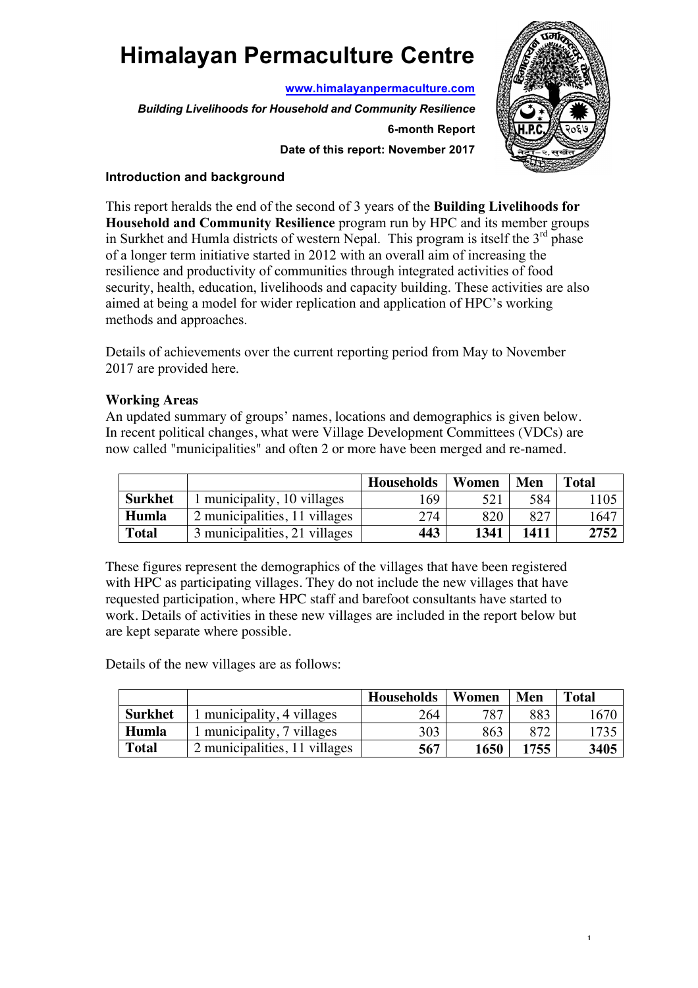# **Himalayan Permaculture Centre**

**www.himalayanpermaculture.com**

*Building Livelihoods for Household and Community Resilience*

**6-month Report Date of this report: November 2017**



1

# **Introduction and background**

This report heralds the end of the second of 3 years of the **Building Livelihoods for Household and Community Resilience** program run by HPC and its member groups in Surkhet and Humla districts of western Nepal. This program is itself the  $3<sup>rd</sup>$  phase of a longer term initiative started in 2012 with an overall aim of increasing the resilience and productivity of communities through integrated activities of food security, health, education, livelihoods and capacity building. These activities are also aimed at being a model for wider replication and application of HPC's working methods and approaches.

Details of achievements over the current reporting period from May to November 2017 are provided here.

# **Working Areas**

An updated summary of groups' names, locations and demographics is given below. In recent political changes, what were Village Development Committees (VDCs) are now called "municipalities" and often 2 or more have been merged and re-named.

|                |                               | <b>Households</b> | Women | Men  | <b>Total</b> |
|----------------|-------------------------------|-------------------|-------|------|--------------|
| <b>Surkhet</b> | 1 municipality, 10 villages   | 169               |       | 584  | l 105        |
| Humla          | 2 municipalities, 11 villages | 274               | 820   | 827  | 1647         |
| <b>Total</b>   | 3 municipalities, 21 villages | 443               | 1341  | 1411 | 2752         |

These figures represent the demographics of the villages that have been registered with HPC as participating villages. They do not include the new villages that have requested participation, where HPC staff and barefoot consultants have started to work. Details of activities in these new villages are included in the report below but are kept separate where possible.

Details of the new villages are as follows:

|                |                               | <b>Households</b> | Women | Men  | <b>Total</b> |
|----------------|-------------------------------|-------------------|-------|------|--------------|
| <b>Surkhet</b> | municipality, 4 villages      | 264               | 787   | 883  | 1670         |
| Humla          | 1 municipality, 7 villages    | 303               | 863   | 872  | 1735         |
| <b>Total</b>   | 2 municipalities, 11 villages | 567               | 1650  | .755 | 3405         |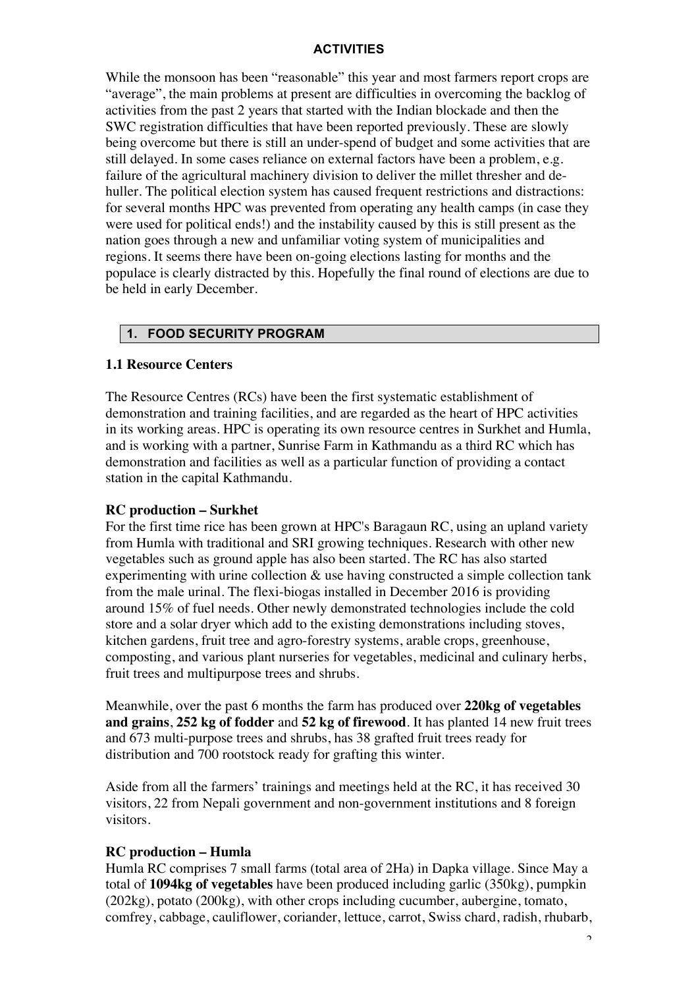#### **ACTIVITIES**

While the monsoon has been "reasonable" this year and most farmers report crops are "average", the main problems at present are difficulties in overcoming the backlog of activities from the past 2 years that started with the Indian blockade and then the SWC registration difficulties that have been reported previously. These are slowly being overcome but there is still an under-spend of budget and some activities that are still delayed. In some cases reliance on external factors have been a problem, e.g. failure of the agricultural machinery division to deliver the millet thresher and dehuller. The political election system has caused frequent restrictions and distractions: for several months HPC was prevented from operating any health camps (in case they were used for political ends!) and the instability caused by this is still present as the nation goes through a new and unfamiliar voting system of municipalities and regions. It seems there have been on-going elections lasting for months and the populace is clearly distracted by this. Hopefully the final round of elections are due to be held in early December.

## **1. FOOD SECURITY PROGRAM**

## **1.1 Resource Centers**

The Resource Centres (RCs) have been the first systematic establishment of demonstration and training facilities, and are regarded as the heart of HPC activities in its working areas. HPC is operating its own resource centres in Surkhet and Humla, and is working with a partner, Sunrise Farm in Kathmandu as a third RC which has demonstration and facilities as well as a particular function of providing a contact station in the capital Kathmandu.

#### **RC production – Surkhet**

For the first time rice has been grown at HPC's Baragaun RC, using an upland variety from Humla with traditional and SRI growing techniques. Research with other new vegetables such as ground apple has also been started. The RC has also started experimenting with urine collection & use having constructed a simple collection tank from the male urinal. The flexi-biogas installed in December 2016 is providing around 15% of fuel needs. Other newly demonstrated technologies include the cold store and a solar dryer which add to the existing demonstrations including stoves, kitchen gardens, fruit tree and agro-forestry systems, arable crops, greenhouse, composting, and various plant nurseries for vegetables, medicinal and culinary herbs, fruit trees and multipurpose trees and shrubs.

Meanwhile, over the past 6 months the farm has produced over **220kg of vegetables and grains**, **252 kg of fodder** and **52 kg of firewood**. It has planted 14 new fruit trees and 673 multi-purpose trees and shrubs, has 38 grafted fruit trees ready for distribution and 700 rootstock ready for grafting this winter.

Aside from all the farmers' trainings and meetings held at the RC, it has received 30 visitors, 22 from Nepali government and non-government institutions and 8 foreign visitors.

#### **RC production – Humla**

Humla RC comprises 7 small farms (total area of 2Ha) in Dapka village. Since May a total of **1094kg of vegetables** have been produced including garlic (350kg), pumpkin (202kg), potato (200kg), with other crops including cucumber, aubergine, tomato, comfrey, cabbage, cauliflower, coriander, lettuce, carrot, Swiss chard, radish, rhubarb,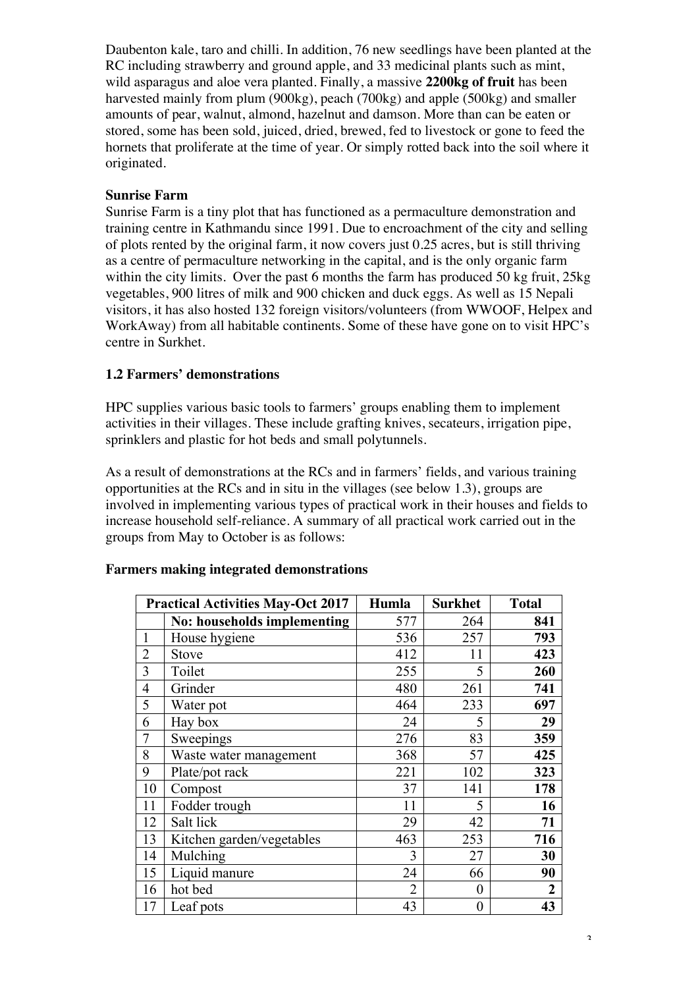Daubenton kale, taro and chilli. In addition, 76 new seedlings have been planted at the RC including strawberry and ground apple, and 33 medicinal plants such as mint, wild asparagus and aloe vera planted. Finally, a massive **2200kg of fruit** has been harvested mainly from plum (900kg), peach (700kg) and apple (500kg) and smaller amounts of pear, walnut, almond, hazelnut and damson. More than can be eaten or stored, some has been sold, juiced, dried, brewed, fed to livestock or gone to feed the hornets that proliferate at the time of year. Or simply rotted back into the soil where it originated.

# **Sunrise Farm**

Sunrise Farm is a tiny plot that has functioned as a permaculture demonstration and training centre in Kathmandu since 1991. Due to encroachment of the city and selling of plots rented by the original farm, it now covers just 0.25 acres, but is still thriving as a centre of permaculture networking in the capital, and is the only organic farm within the city limits. Over the past 6 months the farm has produced 50 kg fruit, 25kg vegetables, 900 litres of milk and 900 chicken and duck eggs. As well as 15 Nepali visitors, it has also hosted 132 foreign visitors/volunteers (from WWOOF, Helpex and WorkAway) from all habitable continents. Some of these have gone on to visit HPC's centre in Surkhet.

# **1.2 Farmers' demonstrations**

HPC supplies various basic tools to farmers' groups enabling them to implement activities in their villages. These include grafting knives, secateurs, irrigation pipe, sprinklers and plastic for hot beds and small polytunnels.

As a result of demonstrations at the RCs and in farmers' fields, and various training opportunities at the RCs and in situ in the villages (see below 1.3), groups are involved in implementing various types of practical work in their houses and fields to increase household self-reliance. A summary of all practical work carried out in the groups from May to October is as follows:

|                | <b>Practical Activities May-Oct 2017</b> | Humla          | <b>Surkhet</b>   | <b>Total</b>   |
|----------------|------------------------------------------|----------------|------------------|----------------|
|                | No: households implementing              | 577            | 264              | 841            |
| 1              | House hygiene                            | 536            | 257              | 793            |
| $\overline{2}$ | Stove                                    | 412            | 11               | 423            |
| 3              | Toilet                                   | 255            | 5                | 260            |
| $\overline{4}$ | Grinder                                  | 480            | 261              | 741            |
| 5              | Water pot                                | 464            | 233              | 697            |
| 6              | Hay box                                  | 24             | 5                | 29             |
| 7              | Sweepings                                | 276            | 83               | 359            |
| 8              | Waste water management                   | 368            | 57               | 425            |
| 9              | Plate/pot rack                           | 221            | 102              | 323            |
| 10             | Compost                                  | 37             | 141              | 178            |
| 11             | Fodder trough                            | 11             | 5                | 16             |
| 12             | Salt lick                                | 29             | 42               | 71             |
| 13             | Kitchen garden/vegetables                | 463            | 253              | 716            |
| 14             | Mulching                                 | 3              | 27               | 30             |
| 15             | Liquid manure                            | 24             | 66               | 90             |
| 16             | hot bed                                  | $\overline{2}$ | $\boldsymbol{0}$ | $\overline{2}$ |
| 17             | Leaf pots                                | 43             | $\boldsymbol{0}$ | 43             |

# **Farmers making integrated demonstrations**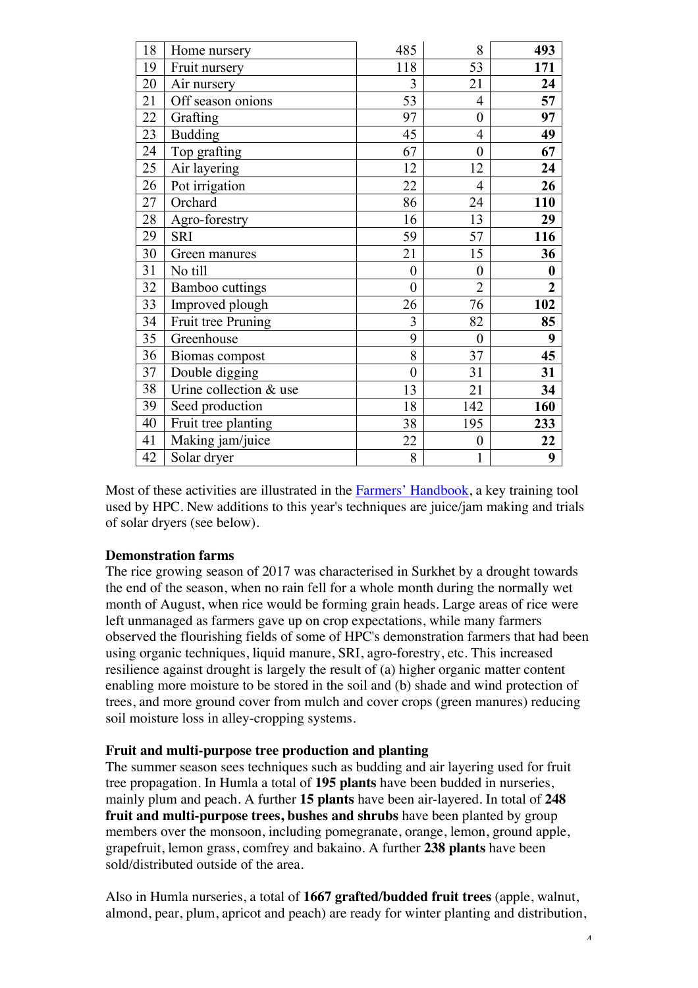| 18 | Home nursery           | 485              | 8                | 493              |
|----|------------------------|------------------|------------------|------------------|
| 19 | Fruit nursery          | 118              | 53               | 171              |
| 20 | Air nursery            | 3                | 21               | 24               |
| 21 | Off season onions      | 53               | $\overline{4}$   | 57               |
| 22 | Grafting               | 97               | $\overline{0}$   | 97               |
| 23 | <b>Budding</b>         | 45               | $\overline{4}$   | 49               |
| 24 | Top grafting           | 67               | $\overline{0}$   | 67               |
| 25 | Air layering           | 12               | 12               | 24               |
| 26 | Pot irrigation         | 22               | $\overline{4}$   | 26               |
| 27 | Orchard                | 86               | 24               | 110              |
| 28 | Agro-forestry          | 16               | 13               | 29               |
| 29 | <b>SRI</b>             | 59               | 57               | 116              |
| 30 | Green manures          | 21               | 15               | 36               |
| 31 | No till                | $\boldsymbol{0}$ | $\boldsymbol{0}$ | $\boldsymbol{0}$ |
| 32 | Bamboo cuttings        | $\overline{0}$   | $\overline{2}$   | $\overline{2}$   |
| 33 | Improved plough        | 26               | 76               | 102              |
| 34 | Fruit tree Pruning     | 3                | 82               | 85               |
| 35 | Greenhouse             | 9                | $\overline{0}$   | 9                |
| 36 | Biomas compost         | 8                | 37               | 45               |
| 37 | Double digging         | $\overline{0}$   | 31               | 31               |
| 38 | Urine collection & use | 13               | 21               | 34               |
| 39 | Seed production        | 18               | 142              | 160              |
| 40 | Fruit tree planting    | 38               | 195              | 233              |
| 41 | Making jam/juice       | 22               | $\boldsymbol{0}$ | 22               |
| 42 | Solar dryer            | 8                | 1                | 9                |

Most of these activities are illustrated in the **Farmers' Handbook**, a key training tool used by HPC. New additions to this year's techniques are juice/jam making and trials of solar dryers (see below).

#### **Demonstration farms**

The rice growing season of 2017 was characterised in Surkhet by a drought towards the end of the season, when no rain fell for a whole month during the normally wet month of August, when rice would be forming grain heads. Large areas of rice were left unmanaged as farmers gave up on crop expectations, while many farmers observed the flourishing fields of some of HPC's demonstration farmers that had been using organic techniques, liquid manure, SRI, agro-forestry, etc. This increased resilience against drought is largely the result of (a) higher organic matter content enabling more moisture to be stored in the soil and (b) shade and wind protection of trees, and more ground cover from mulch and cover crops (green manures) reducing soil moisture loss in alley-cropping systems.

# **Fruit and multi-purpose tree production and planting**

The summer season sees techniques such as budding and air layering used for fruit tree propagation. In Humla a total of **195 plants** have been budded in nurseries, mainly plum and peach. A further **15 plants** have been air-layered. In total of **248 fruit and multi-purpose trees, bushes and shrubs** have been planted by group members over the monsoon, including pomegranate, orange, lemon, ground apple, grapefruit, lemon grass, comfrey and bakaino. A further **238 plants** have been sold/distributed outside of the area.

Also in Humla nurseries, a total of **1667 grafted/budded fruit trees** (apple, walnut, almond, pear, plum, apricot and peach) are ready for winter planting and distribution,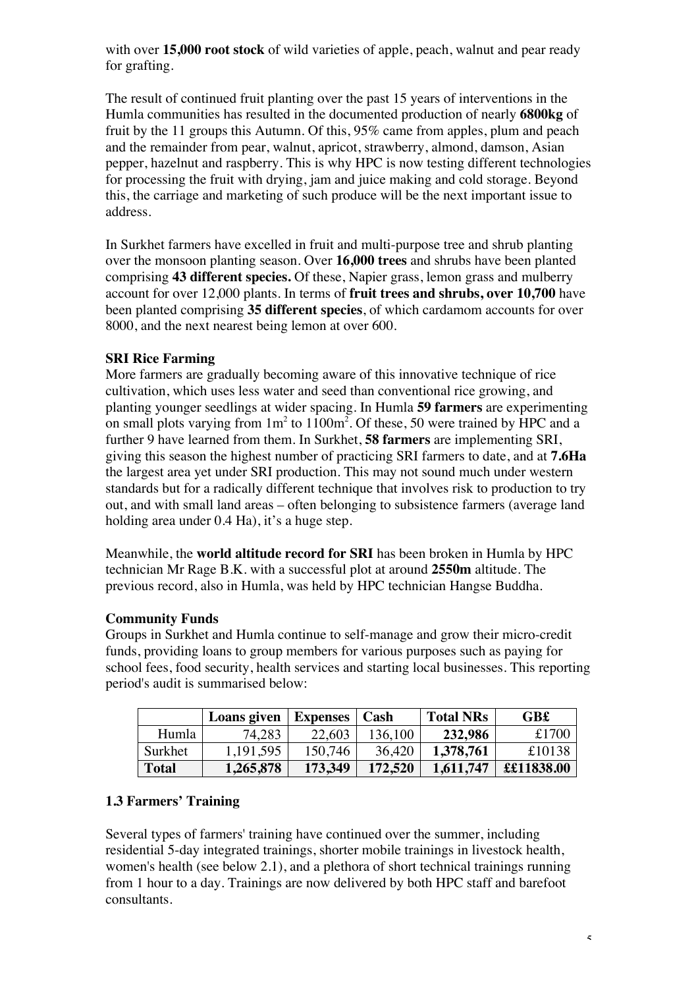with over **15,000 root stock** of wild varieties of apple, peach, walnut and pear ready for grafting.

The result of continued fruit planting over the past 15 years of interventions in the Humla communities has resulted in the documented production of nearly **6800kg** of fruit by the 11 groups this Autumn. Of this, 95% came from apples, plum and peach and the remainder from pear, walnut, apricot, strawberry, almond, damson, Asian pepper, hazelnut and raspberry. This is why HPC is now testing different technologies for processing the fruit with drying, jam and juice making and cold storage. Beyond this, the carriage and marketing of such produce will be the next important issue to address.

In Surkhet farmers have excelled in fruit and multi-purpose tree and shrub planting over the monsoon planting season. Over **16,000 trees** and shrubs have been planted comprising **43 different species.** Of these, Napier grass, lemon grass and mulberry account for over 12,000 plants. In terms of **fruit trees and shrubs, over 10,700** have been planted comprising **35 different species**, of which cardamom accounts for over 8000, and the next nearest being lemon at over 600.

# **SRI Rice Farming**

More farmers are gradually becoming aware of this innovative technique of rice cultivation, which uses less water and seed than conventional rice growing, and planting younger seedlings at wider spacing. In Humla **59 farmers** are experimenting on small plots varying from  $1m^2$  to  $1100m^2$ . Of these, 50 were trained by HPC and a further 9 have learned from them. In Surkhet, **58 farmers** are implementing SRI, giving this season the highest number of practicing SRI farmers to date, and at **7.6Ha** the largest area yet under SRI production. This may not sound much under western standards but for a radically different technique that involves risk to production to try out, and with small land areas – often belonging to subsistence farmers (average land holding area under 0.4 Ha), it's a huge step.

Meanwhile, the **world altitude record for SRI** has been broken in Humla by HPC technician Mr Rage B.K. with a successful plot at around **2550m** altitude. The previous record, also in Humla, was held by HPC technician Hangse Buddha.

#### **Community Funds**

Groups in Surkhet and Humla continue to self-manage and grow their micro-credit funds, providing loans to group members for various purposes such as paying for school fees, food security, health services and starting local businesses. This reporting period's audit is summarised below:

|              | Loans given | <b>Expenses</b> | Cash    | <b>Total NRs</b> | <b>GB</b> £ |
|--------------|-------------|-----------------|---------|------------------|-------------|
| Humla        | 74,283      | 22,603          | 136,100 | 232,986          | £1700       |
| Surkhet      | 1, 191, 595 | 150,746         | 36,420  | 1,378,761        | £10138      |
| <b>Total</b> | 1,265,878   | 173,349         | 172.520 | 1,611,747        | ££11838.00  |

#### **1.3 Farmers' Training**

Several types of farmers' training have continued over the summer, including residential 5-day integrated trainings, shorter mobile trainings in livestock health, women's health (see below 2.1), and a plethora of short technical trainings running from 1 hour to a day. Trainings are now delivered by both HPC staff and barefoot consultants.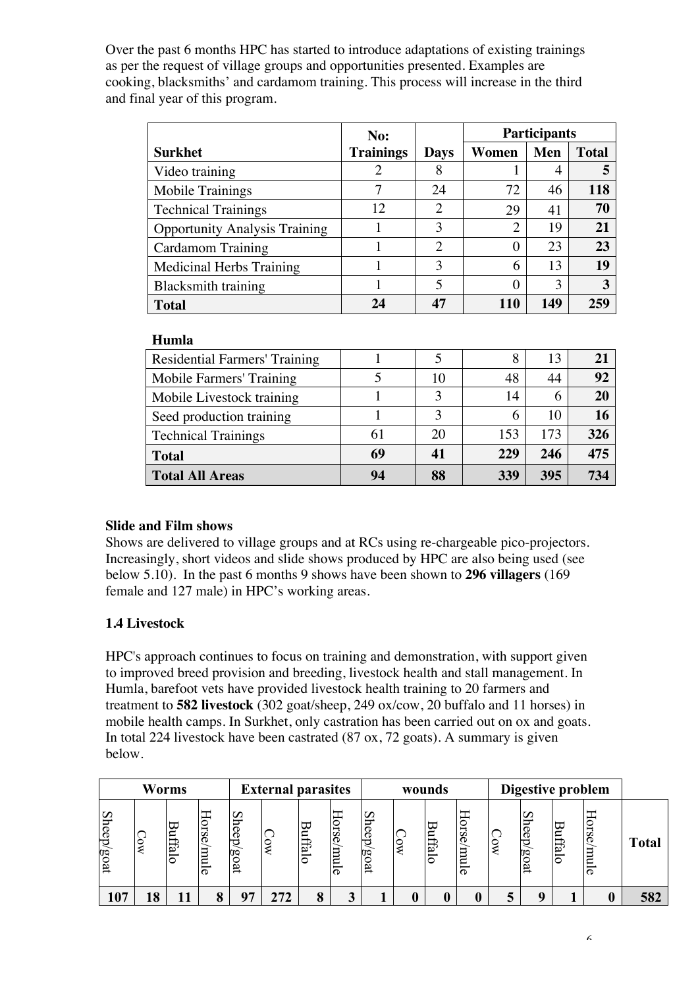Over the past 6 months HPC has started to introduce adaptations of existing trainings as per the request of village groups and opportunities presented. Examples are cooking, blacksmiths' and cardamom training. This process will increase in the third and final year of this program.

|                                      | No:              |                | <b>Participants</b> |     |              |
|--------------------------------------|------------------|----------------|---------------------|-----|--------------|
| <b>Surkhet</b>                       | <b>Trainings</b> | Days           | Women               | Men | <b>Total</b> |
| Video training                       |                  | 8              |                     |     |              |
| Mobile Trainings                     |                  | 24             | 72                  | 46  | 118          |
| <b>Technical Trainings</b>           | 12               | 2              | 29                  | 41  | 70           |
| <b>Opportunity Analysis Training</b> |                  | 3              | $\overline{2}$      | 19  | 21           |
| <b>Cardamom Training</b>             |                  | $\overline{2}$ | 0                   | 23  | 23           |
| Medicinal Herbs Training             |                  | 3              | 6                   | 13  | 19           |
| <b>Blacksmith training</b>           |                  | 5              | 0                   | 3   | 3            |
| <b>Total</b>                         | 24               | 47             | 110                 | 149 | 259          |

|    | 5  | 8   | 13  | 21  |
|----|----|-----|-----|-----|
|    | 10 | 48  | 44  | 92  |
|    | 3  | 14  | h   | 20  |
|    | 3  | 6   | 10  | 16  |
| 61 | 20 | 153 | 173 | 326 |
| 69 | 41 | 229 | 246 | 475 |
| 94 | 88 | 339 | 395 | 734 |
|    |    |     |     |     |

# **Slide and Film shows**

Shows are delivered to village groups and at RCs using re-chargeable pico-projectors. Increasingly, short videos and slide shows produced by HPC are also being used (see below 5.10). In the past 6 months 9 shows have been shown to **296 villagers** (169 female and 127 male) in HPC's working areas.

#### **1.4 Livestock**

HPC's approach continues to focus on training and demonstration, with support given to improved breed provision and breeding, livestock health and stall management. In Humla, barefoot vets have provided livestock health training to 20 farmers and treatment to **582 livestock** (302 goat/sheep, 249 ox/cow, 20 buffalo and 11 horses) in mobile health camps. In Surkhet, only castration has been carried out on ox and goats. In total 224 livestock have been castrated (87 ox, 72 goats). A summary is given below.

|            | <b>Worms</b> |         |                                   |                                          | <b>External parasites</b> |            |               |                                      |   | wounds    |                         |                |            | Digestive problem |                    |              |
|------------|--------------|---------|-----------------------------------|------------------------------------------|---------------------------|------------|---------------|--------------------------------------|---|-----------|-------------------------|----------------|------------|-------------------|--------------------|--------------|
| Sheep/goat |              | ᢍ<br>Цg | $\overline{\text{S}}$<br>$\sigma$ | <b>Shee</b><br>ರ<br>80<br>$\overline{a}$ | $\overline{M}$            | ᢘ<br>fialo | 5<br>$\sigma$ | v<br>$\sigma$<br>$\sigma$<br>TQ<br>− | C | u<br>Ĥalo | <b>lorse</b><br>E<br>്റ | $\overline{M}$ | Sheep/goat | ᢍ<br>uttalo       | <b>Orse</b><br>l O | <b>Total</b> |
| 107        | 18           |         |                                   | nπ                                       | 272                       |            |               |                                      |   |           |                         |                |            |                   |                    | 582          |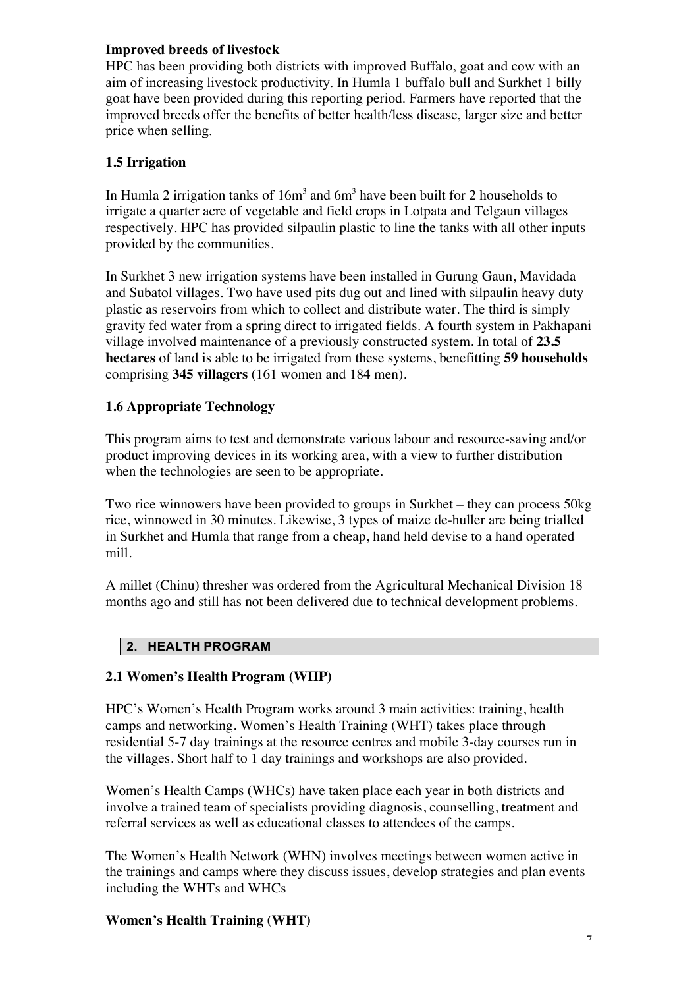## **Improved breeds of livestock**

HPC has been providing both districts with improved Buffalo, goat and cow with an aim of increasing livestock productivity. In Humla 1 buffalo bull and Surkhet 1 billy goat have been provided during this reporting period. Farmers have reported that the improved breeds offer the benefits of better health/less disease, larger size and better price when selling.

# **1.5 Irrigation**

In Humla 2 irrigation tanks of  $16m<sup>3</sup>$  and  $6m<sup>3</sup>$  have been built for 2 households to irrigate a quarter acre of vegetable and field crops in Lotpata and Telgaun villages respectively. HPC has provided silpaulin plastic to line the tanks with all other inputs provided by the communities.

In Surkhet 3 new irrigation systems have been installed in Gurung Gaun, Mavidada and Subatol villages. Two have used pits dug out and lined with silpaulin heavy duty plastic as reservoirs from which to collect and distribute water. The third is simply gravity fed water from a spring direct to irrigated fields. A fourth system in Pakhapani village involved maintenance of a previously constructed system. In total of **23.5 hectares** of land is able to be irrigated from these systems, benefitting **59 households** comprising **345 villagers** (161 women and 184 men).

# **1.6 Appropriate Technology**

This program aims to test and demonstrate various labour and resource-saving and/or product improving devices in its working area, with a view to further distribution when the technologies are seen to be appropriate.

Two rice winnowers have been provided to groups in Surkhet – they can process 50kg rice, winnowed in 30 minutes. Likewise, 3 types of maize de-huller are being trialled in Surkhet and Humla that range from a cheap, hand held devise to a hand operated mill.

A millet (Chinu) thresher was ordered from the Agricultural Mechanical Division 18 months ago and still has not been delivered due to technical development problems.

# **2. HEALTH PROGRAM**

# **2.1 Women's Health Program (WHP)**

HPC's Women's Health Program works around 3 main activities: training, health camps and networking. Women's Health Training (WHT) takes place through residential 5-7 day trainings at the resource centres and mobile 3-day courses run in the villages. Short half to 1 day trainings and workshops are also provided.

Women's Health Camps (WHCs) have taken place each year in both districts and involve a trained team of specialists providing diagnosis, counselling, treatment and referral services as well as educational classes to attendees of the camps.

The Women's Health Network (WHN) involves meetings between women active in the trainings and camps where they discuss issues, develop strategies and plan events including the WHTs and WHCs

# **Women's Health Training (WHT)**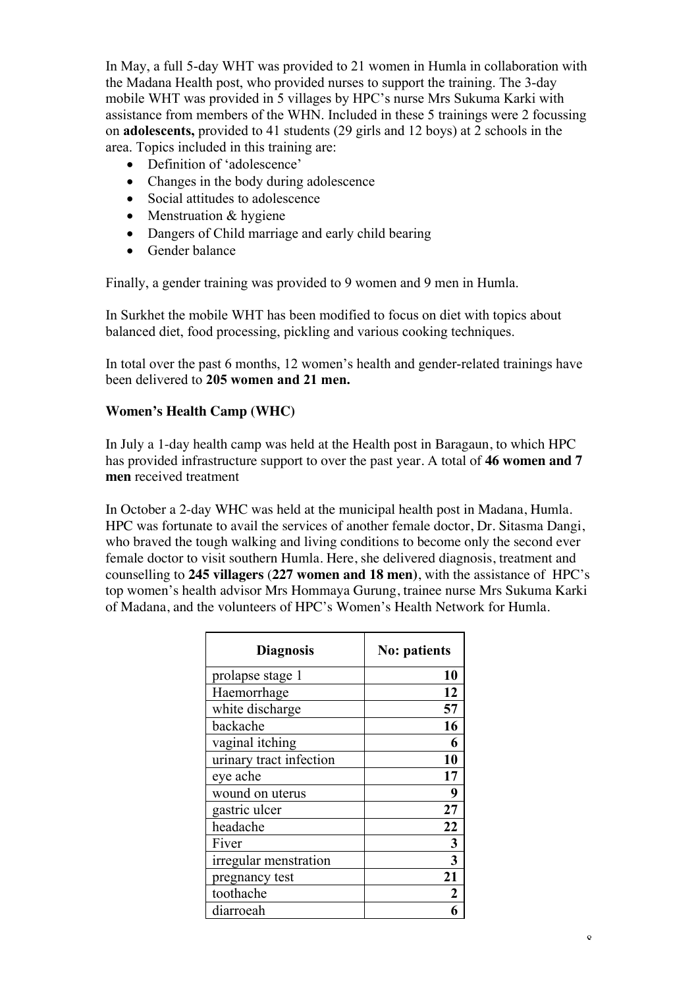In May, a full 5-day WHT was provided to 21 women in Humla in collaboration with the Madana Health post, who provided nurses to support the training. The 3-day mobile WHT was provided in 5 villages by HPC's nurse Mrs Sukuma Karki with assistance from members of the WHN. Included in these 5 trainings were 2 focussing on **adolescents,** provided to 41 students (29 girls and 12 boys) at 2 schools in the area. Topics included in this training are:

- Definition of 'adolescence'
- Changes in the body during adolescence
- Social attitudes to adolescence
- Menstruation & hygiene
- Dangers of Child marriage and early child bearing
- Gender balance

Finally, a gender training was provided to 9 women and 9 men in Humla.

In Surkhet the mobile WHT has been modified to focus on diet with topics about balanced diet, food processing, pickling and various cooking techniques.

In total over the past 6 months, 12 women's health and gender-related trainings have been delivered to **205 women and 21 men.**

# **Women's Health Camp (WHC)**

In July a 1-day health camp was held at the Health post in Baragaun, to which HPC has provided infrastructure support to over the past year. A total of **46 women and 7 men** received treatment

In October a 2-day WHC was held at the municipal health post in Madana, Humla. HPC was fortunate to avail the services of another female doctor, Dr. Sitasma Dangi, who braved the tough walking and living conditions to become only the second ever female doctor to visit southern Humla. Here, she delivered diagnosis, treatment and counselling to **245 villagers** (**227 women and 18 men)**, with the assistance of HPC's top women's health advisor Mrs Hommaya Gurung, trainee nurse Mrs Sukuma Karki of Madana, and the volunteers of HPC's Women's Health Network for Humla.

| <b>Diagnosis</b>        | <b>No: patients</b> |
|-------------------------|---------------------|
| prolapse stage 1        | 10                  |
| Haemorrhage             | 12                  |
| white discharge         | 57                  |
| backache                | 16                  |
| vaginal itching         | 6                   |
| urinary tract infection | 10                  |
| eye ache                | 17                  |
| wound on uterus         | 9                   |
| gastric ulcer           | 27                  |
| headache                | 22                  |
| Fiver                   | 3                   |
| irregular menstration   | 3                   |
| pregnancy test          | 21                  |
| toothache               | $\mathbf 2$         |
| diarroeah               |                     |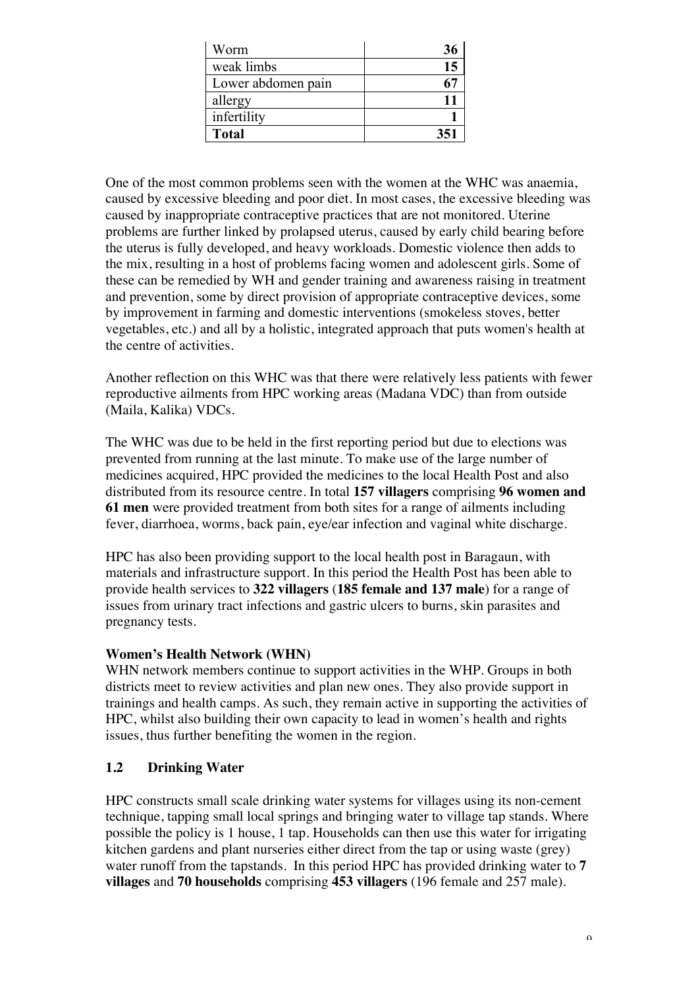| Worm               | 36  |
|--------------------|-----|
| weak limbs         | 15  |
| Lower abdomen pain |     |
| allergy            | 11  |
| infertility        |     |
| <b>Total</b>       | 351 |

One of the most common problems seen with the women at the WHC was anaemia, caused by excessive bleeding and poor diet. In most cases, the excessive bleeding was caused by inappropriate contraceptive practices that are not monitored. Uterine problems are further linked by prolapsed uterus, caused by early child bearing before the uterus is fully developed, and heavy workloads. Domestic violence then adds to the mix, resulting in a host of problems facing women and adolescent girls. Some of these can be remedied by WH and gender training and awareness raising in treatment and prevention, some by direct provision of appropriate contraceptive devices, some by improvement in farming and domestic interventions (smokeless stoves, better vegetables, etc.) and all by a holistic, integrated approach that puts women's health at the centre of activities.

Another reflection on this WHC was that there were relatively less patients with fewer reproductive ailments from HPC working areas (Madana VDC) than from outside (Maila, Kalika) VDCs.

The WHC was due to be held in the first reporting period but due to elections was prevented from running at the last minute. To make use of the large number of medicines acquired, HPC provided the medicines to the local Health Post and also distributed from its resource centre. In total **157 villagers** comprising **96 women and 61 men** were provided treatment from both sites for a range of ailments including fever, diarrhoea, worms, back pain, eye/ear infection and vaginal white discharge.

HPC has also been providing support to the local health post in Baragaun, with materials and infrastructure support. In this period the Health Post has been able to provide health services to **322 villagers** (**185 female and 137 male**) for a range of issues from urinary tract infections and gastric ulcers to burns, skin parasites and pregnancy tests.

# **Women's Health Network (WHN)**

WHN network members continue to support activities in the WHP. Groups in both districts meet to review activities and plan new ones. They also provide support in trainings and health camps. As such, they remain active in supporting the activities of HPC, whilst also building their own capacity to lead in women's health and rights issues, thus further benefiting the women in the region.

# **1.2 Drinking Water**

HPC constructs small scale drinking water systems for villages using its non-cement technique, tapping small local springs and bringing water to village tap stands. Where possible the policy is 1 house, 1 tap. Households can then use this water for irrigating kitchen gardens and plant nurseries either direct from the tap or using waste (grey) water runoff from the tapstands. In this period HPC has provided drinking water to **7 villages** and **70 households** comprising **453 villagers** (196 female and 257 male).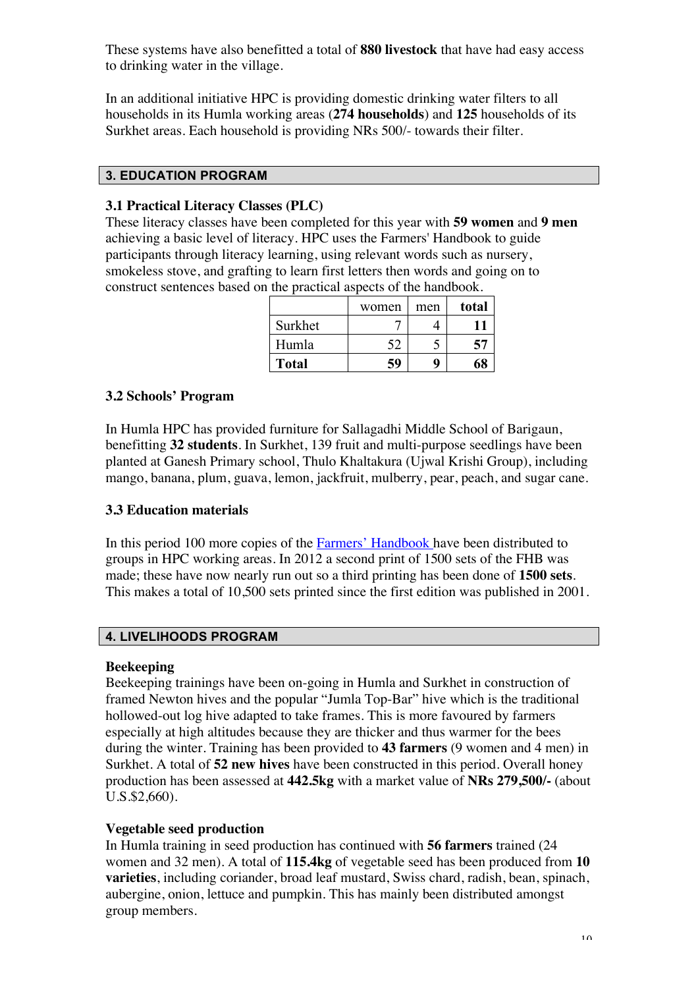These systems have also benefitted a total of **880 livestock** that have had easy access to drinking water in the village.

In an additional initiative HPC is providing domestic drinking water filters to all households in its Humla working areas (**274 households**) and **125** households of its Surkhet areas. Each household is providing NRs 500/- towards their filter.

## **3. EDUCATION PROGRAM**

# **3.1 Practical Literacy Classes (PLC)**

These literacy classes have been completed for this year with **59 women** and **9 men** achieving a basic level of literacy. HPC uses the Farmers' Handbook to guide participants through literacy learning, using relevant words such as nursery, smokeless stove, and grafting to learn first letters then words and going on to construct sentences based on the practical aspects of the handbook.

|              | women | men | total |
|--------------|-------|-----|-------|
| Surkhet      |       |     | 11    |
| Humla        | 52    |     | 57    |
| <b>Total</b> | 59    |     | 68    |

## **3.2 Schools' Program**

In Humla HPC has provided furniture for Sallagadhi Middle School of Barigaun, benefitting **32 students**. In Surkhet, 139 fruit and multi-purpose seedlings have been planted at Ganesh Primary school, Thulo Khaltakura (Ujwal Krishi Group), including mango, banana, plum, guava, lemon, jackfruit, mulberry, pear, peach, and sugar cane.

#### **3.3 Education materials**

In this period 100 more copies of the Farmers' Handbook have been distributed to groups in HPC working areas. In 2012 a second print of 1500 sets of the FHB was made; these have now nearly run out so a third printing has been done of **1500 sets**. This makes a total of 10,500 sets printed since the first edition was published in 2001.

#### **4. LIVELIHOODS PROGRAM**

#### **Beekeeping**

Beekeeping trainings have been on-going in Humla and Surkhet in construction of framed Newton hives and the popular "Jumla Top-Bar" hive which is the traditional hollowed-out log hive adapted to take frames. This is more favoured by farmers especially at high altitudes because they are thicker and thus warmer for the bees during the winter. Training has been provided to **43 farmers** (9 women and 4 men) in Surkhet. A total of **52 new hives** have been constructed in this period. Overall honey production has been assessed at **442.5kg** with a market value of **NRs 279,500/-** (about U.S.\$2,660).

#### **Vegetable seed production**

In Humla training in seed production has continued with **56 farmers** trained (24 women and 32 men). A total of **115.4kg** of vegetable seed has been produced from **10 varieties**, including coriander, broad leaf mustard, Swiss chard, radish, bean, spinach, aubergine, onion, lettuce and pumpkin. This has mainly been distributed amongst group members.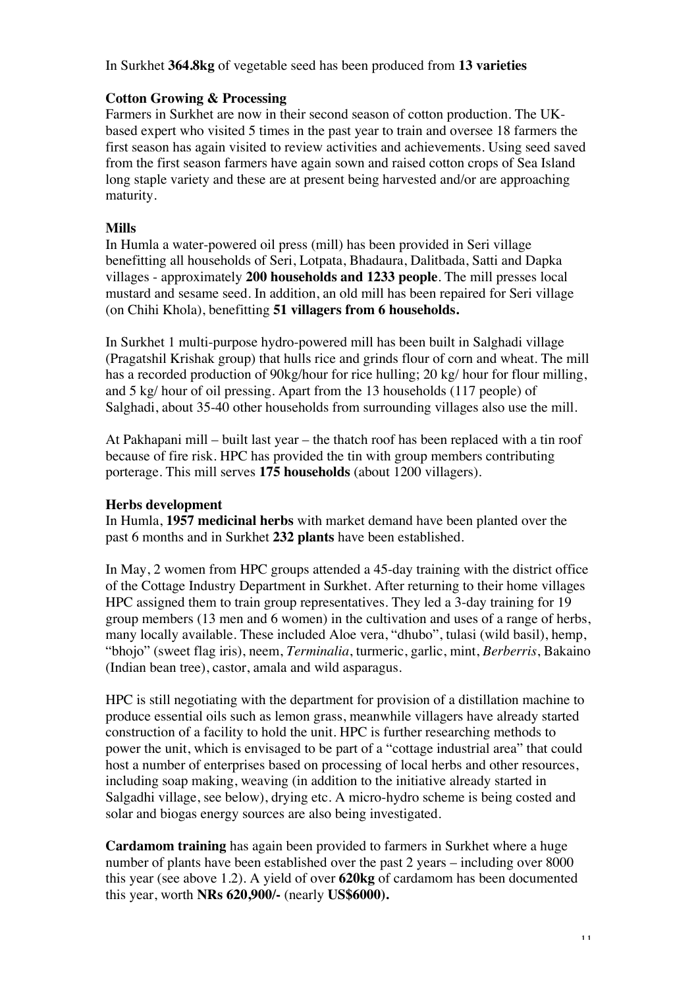In Surkhet **364.8kg** of vegetable seed has been produced from **13 varieties**

# **Cotton Growing & Processing**

Farmers in Surkhet are now in their second season of cotton production. The UKbased expert who visited 5 times in the past year to train and oversee 18 farmers the first season has again visited to review activities and achievements. Using seed saved from the first season farmers have again sown and raised cotton crops of Sea Island long staple variety and these are at present being harvested and/or are approaching maturity.

# **Mills**

In Humla a water-powered oil press (mill) has been provided in Seri village benefitting all households of Seri, Lotpata, Bhadaura, Dalitbada, Satti and Dapka villages - approximately **200 households and 1233 people**. The mill presses local mustard and sesame seed. In addition, an old mill has been repaired for Seri village (on Chihi Khola), benefitting **51 villagers from 6 households.**

In Surkhet 1 multi-purpose hydro-powered mill has been built in Salghadi village (Pragatshil Krishak group) that hulls rice and grinds flour of corn and wheat. The mill has a recorded production of 90kg/hour for rice hulling; 20 kg/ hour for flour milling, and 5 kg/ hour of oil pressing. Apart from the 13 households (117 people) of Salghadi, about 35-40 other households from surrounding villages also use the mill.

At Pakhapani mill – built last year – the thatch roof has been replaced with a tin roof because of fire risk. HPC has provided the tin with group members contributing porterage. This mill serves **175 households** (about 1200 villagers).

# **Herbs development**

In Humla, **1957 medicinal herbs** with market demand have been planted over the past 6 months and in Surkhet **232 plants** have been established.

In May, 2 women from HPC groups attended a 45-day training with the district office of the Cottage Industry Department in Surkhet. After returning to their home villages HPC assigned them to train group representatives. They led a 3-day training for 19 group members (13 men and 6 women) in the cultivation and uses of a range of herbs, many locally available. These included Aloe vera, "dhubo", tulasi (wild basil), hemp, "bhojo" (sweet flag iris), neem, *Terminalia*, turmeric, garlic, mint, *Berberris*, Bakaino (Indian bean tree), castor, amala and wild asparagus.

HPC is still negotiating with the department for provision of a distillation machine to produce essential oils such as lemon grass, meanwhile villagers have already started construction of a facility to hold the unit. HPC is further researching methods to power the unit, which is envisaged to be part of a "cottage industrial area" that could host a number of enterprises based on processing of local herbs and other resources, including soap making, weaving (in addition to the initiative already started in Salgadhi village, see below), drying etc. A micro-hydro scheme is being costed and solar and biogas energy sources are also being investigated.

**Cardamom training** has again been provided to farmers in Surkhet where a huge number of plants have been established over the past 2 years – including over 8000 this year (see above 1.2). A yield of over **620kg** of cardamom has been documented this year, worth **NRs 620,900/-** (nearly **US\$6000).**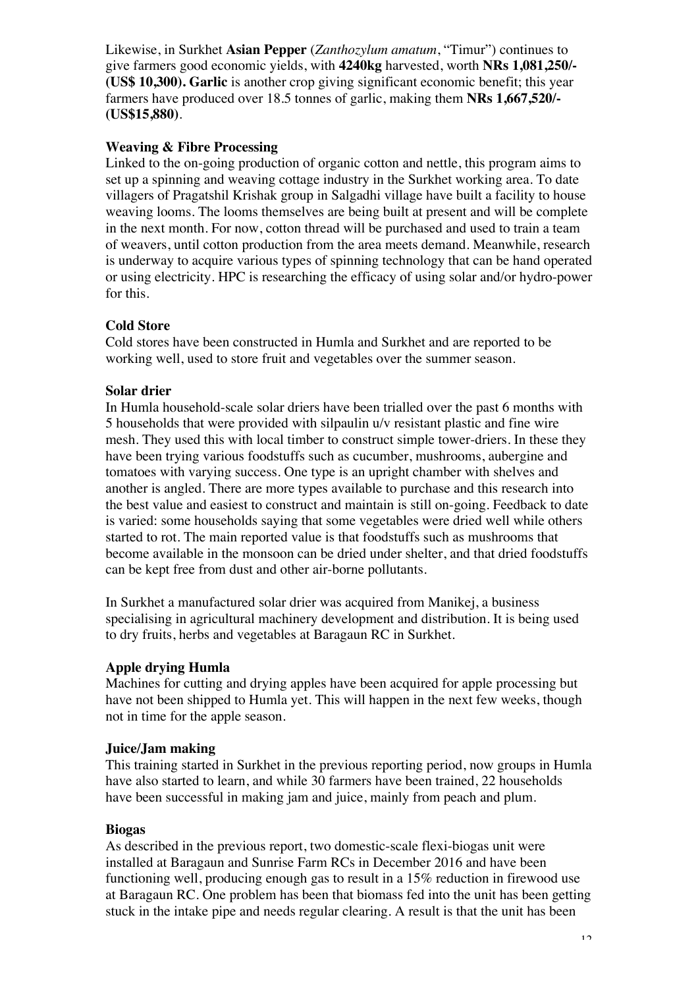Likewise, in Surkhet **Asian Pepper** (*Zanthozylum amatum*, "Timur") continues to give farmers good economic yields, with **4240kg** harvested, worth **NRs 1,081,250/- (US\$ 10,300). Garlic** is another crop giving significant economic benefit; this year farmers have produced over 18.5 tonnes of garlic, making them **NRs 1,667,520/- (US\$15,880)**.

## **Weaving & Fibre Processing**

Linked to the on-going production of organic cotton and nettle, this program aims to set up a spinning and weaving cottage industry in the Surkhet working area. To date villagers of Pragatshil Krishak group in Salgadhi village have built a facility to house weaving looms. The looms themselves are being built at present and will be complete in the next month. For now, cotton thread will be purchased and used to train a team of weavers, until cotton production from the area meets demand. Meanwhile, research is underway to acquire various types of spinning technology that can be hand operated or using electricity. HPC is researching the efficacy of using solar and/or hydro-power for this.

# **Cold Store**

Cold stores have been constructed in Humla and Surkhet and are reported to be working well, used to store fruit and vegetables over the summer season.

# **Solar drier**

In Humla household-scale solar driers have been trialled over the past 6 months with 5 households that were provided with silpaulin u/v resistant plastic and fine wire mesh. They used this with local timber to construct simple tower-driers. In these they have been trying various foodstuffs such as cucumber, mushrooms, aubergine and tomatoes with varying success. One type is an upright chamber with shelves and another is angled. There are more types available to purchase and this research into the best value and easiest to construct and maintain is still on-going. Feedback to date is varied: some households saying that some vegetables were dried well while others started to rot. The main reported value is that foodstuffs such as mushrooms that become available in the monsoon can be dried under shelter, and that dried foodstuffs can be kept free from dust and other air-borne pollutants.

In Surkhet a manufactured solar drier was acquired from Manikej, a business specialising in agricultural machinery development and distribution. It is being used to dry fruits, herbs and vegetables at Baragaun RC in Surkhet.

# **Apple drying Humla**

Machines for cutting and drying apples have been acquired for apple processing but have not been shipped to Humla yet. This will happen in the next few weeks, though not in time for the apple season.

#### **Juice/Jam making**

This training started in Surkhet in the previous reporting period, now groups in Humla have also started to learn, and while 30 farmers have been trained, 22 households have been successful in making jam and juice, mainly from peach and plum.

#### **Biogas**

As described in the previous report, two domestic-scale flexi-biogas unit were installed at Baragaun and Sunrise Farm RCs in December 2016 and have been functioning well, producing enough gas to result in a 15% reduction in firewood use at Baragaun RC. One problem has been that biomass fed into the unit has been getting stuck in the intake pipe and needs regular clearing. A result is that the unit has been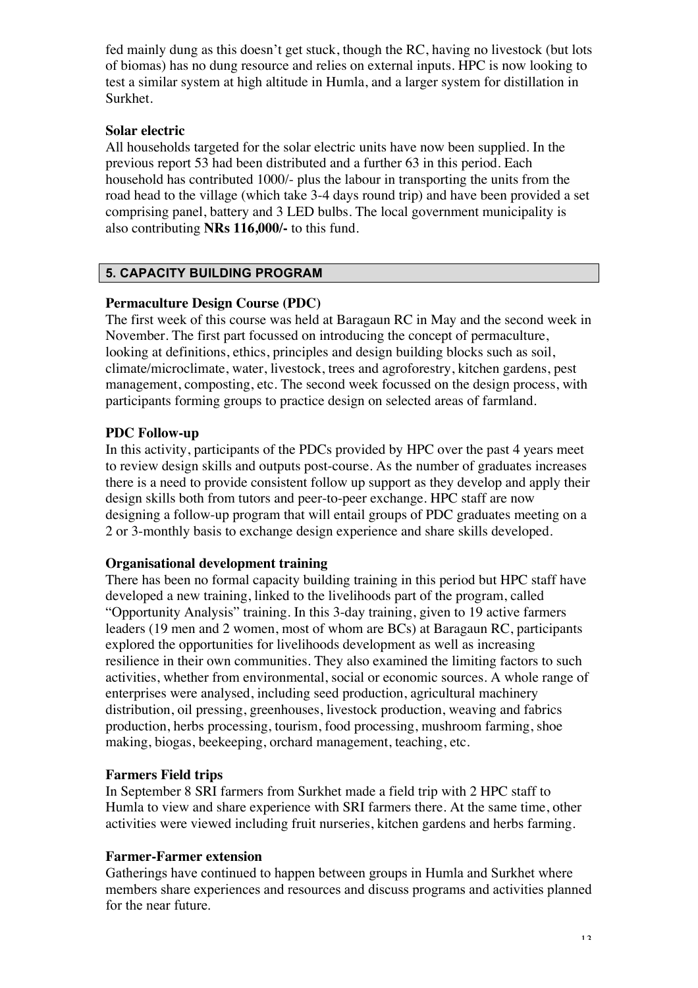fed mainly dung as this doesn't get stuck, though the RC, having no livestock (but lots of biomas) has no dung resource and relies on external inputs. HPC is now looking to test a similar system at high altitude in Humla, and a larger system for distillation in Surkhet.

## **Solar electric**

All households targeted for the solar electric units have now been supplied. In the previous report 53 had been distributed and a further 63 in this period. Each household has contributed 1000/- plus the labour in transporting the units from the road head to the village (which take 3-4 days round trip) and have been provided a set comprising panel, battery and 3 LED bulbs. The local government municipality is also contributing **NRs 116,000/-** to this fund.

# **5. CAPACITY BUILDING PROGRAM**

## **Permaculture Design Course (PDC)**

The first week of this course was held at Baragaun RC in May and the second week in November. The first part focussed on introducing the concept of permaculture, looking at definitions, ethics, principles and design building blocks such as soil, climate/microclimate, water, livestock, trees and agroforestry, kitchen gardens, pest management, composting, etc. The second week focussed on the design process, with participants forming groups to practice design on selected areas of farmland.

## **PDC Follow-up**

In this activity, participants of the PDCs provided by HPC over the past 4 years meet to review design skills and outputs post-course. As the number of graduates increases there is a need to provide consistent follow up support as they develop and apply their design skills both from tutors and peer-to-peer exchange. HPC staff are now designing a follow-up program that will entail groups of PDC graduates meeting on a 2 or 3-monthly basis to exchange design experience and share skills developed.

#### **Organisational development training**

There has been no formal capacity building training in this period but HPC staff have developed a new training, linked to the livelihoods part of the program, called "Opportunity Analysis" training. In this 3-day training, given to 19 active farmers leaders (19 men and 2 women, most of whom are BCs) at Baragaun RC, participants explored the opportunities for livelihoods development as well as increasing resilience in their own communities. They also examined the limiting factors to such activities, whether from environmental, social or economic sources. A whole range of enterprises were analysed, including seed production, agricultural machinery distribution, oil pressing, greenhouses, livestock production, weaving and fabrics production, herbs processing, tourism, food processing, mushroom farming, shoe making, biogas, beekeeping, orchard management, teaching, etc.

# **Farmers Field trips**

In September 8 SRI farmers from Surkhet made a field trip with 2 HPC staff to Humla to view and share experience with SRI farmers there. At the same time, other activities were viewed including fruit nurseries, kitchen gardens and herbs farming.

#### **Farmer-Farmer extension**

Gatherings have continued to happen between groups in Humla and Surkhet where members share experiences and resources and discuss programs and activities planned for the near future.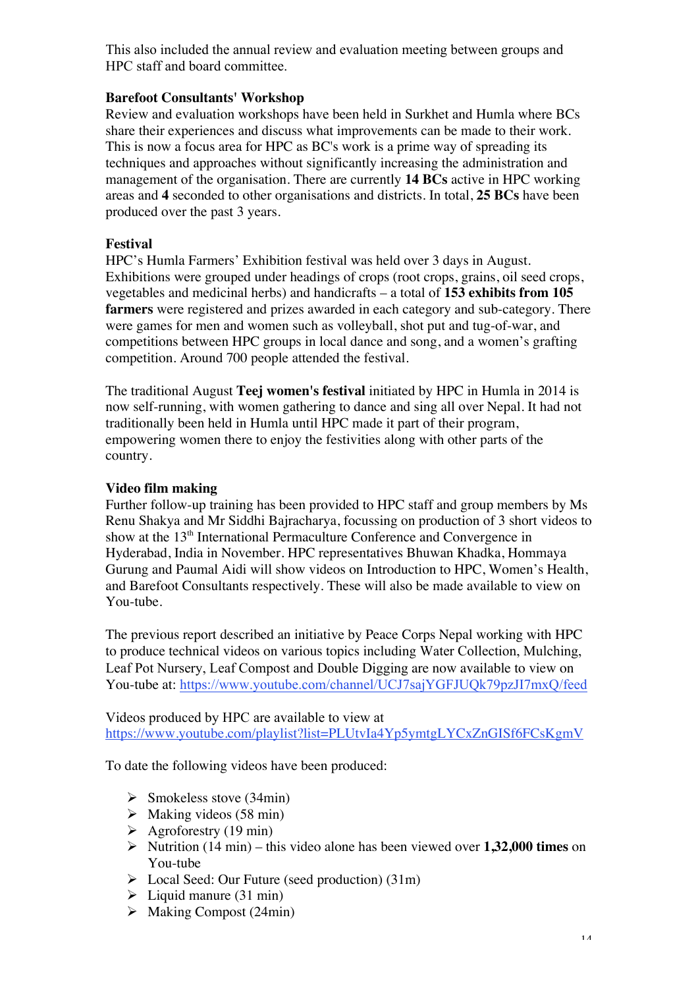This also included the annual review and evaluation meeting between groups and HPC staff and board committee.

## **Barefoot Consultants' Workshop**

Review and evaluation workshops have been held in Surkhet and Humla where BCs share their experiences and discuss what improvements can be made to their work. This is now a focus area for HPC as BC's work is a prime way of spreading its techniques and approaches without significantly increasing the administration and management of the organisation. There are currently **14 BCs** active in HPC working areas and **4** seconded to other organisations and districts. In total, **25 BCs** have been produced over the past 3 years.

## **Festival**

HPC's Humla Farmers' Exhibition festival was held over 3 days in August. Exhibitions were grouped under headings of crops (root crops, grains, oil seed crops, vegetables and medicinal herbs) and handicrafts – a total of **153 exhibits from 105 farmers** were registered and prizes awarded in each category and sub-category. There were games for men and women such as volleyball, shot put and tug-of-war, and competitions between HPC groups in local dance and song, and a women's grafting competition. Around 700 people attended the festival.

The traditional August **Teej women's festival** initiated by HPC in Humla in 2014 is now self-running, with women gathering to dance and sing all over Nepal. It had not traditionally been held in Humla until HPC made it part of their program, empowering women there to enjoy the festivities along with other parts of the country.

## **Video film making**

Further follow-up training has been provided to HPC staff and group members by Ms Renu Shakya and Mr Siddhi Bajracharya, focussing on production of 3 short videos to show at the 13<sup>th</sup> International Permaculture Conference and Convergence in Hyderabad, India in November. HPC representatives Bhuwan Khadka, Hommaya Gurung and Paumal Aidi will show videos on Introduction to HPC, Women's Health, and Barefoot Consultants respectively. These will also be made available to view on You-tube.

The previous report described an initiative by Peace Corps Nepal working with HPC to produce technical videos on various topics including Water Collection, Mulching, Leaf Pot Nursery, Leaf Compost and Double Digging are now available to view on You-tube at: https://www.youtube.com/channel/UCJ7sajYGFJUQk79pzJI7mxQ/feed

Videos produced by HPC are available to view at https://www.youtube.com/playlist?list=PLUtvIa4Yp5ymtgLYCxZnGISf6FCsKgmV

To date the following videos have been produced:

- $\triangleright$  Smokeless stove (34min)
- $\triangleright$  Making videos (58 min)
- $\triangleright$  Agroforestry (19 min)
- Ø Nutrition (14 min) this video alone has been viewed over **1,32,000 times** on You-tube
- $\triangleright$  Local Seed: Our Future (seed production) (31m)
- $\blacktriangleright$  Liquid manure (31 min)
- $\triangleright$  Making Compost (24min)